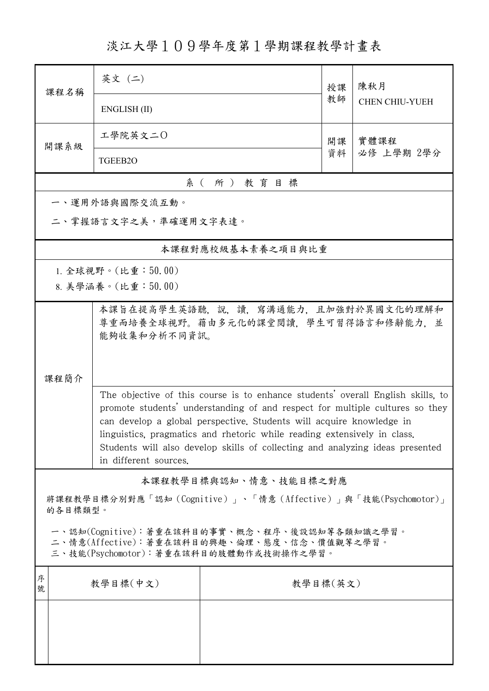淡江大學109學年度第1學期課程教學計畫表

|                                                                                                                                        | 课程名稱     | 英文 (二)                                                                                                                                                                                                                                                                                                                                                                                                                        |                       | 授課 | 陳秋月<br><b>CHEN CHIU-YUEH</b> |  |  |  |  |  |  |
|----------------------------------------------------------------------------------------------------------------------------------------|----------|-------------------------------------------------------------------------------------------------------------------------------------------------------------------------------------------------------------------------------------------------------------------------------------------------------------------------------------------------------------------------------------------------------------------------------|-----------------------|----|------------------------------|--|--|--|--|--|--|
|                                                                                                                                        |          | ENGLISH (II)                                                                                                                                                                                                                                                                                                                                                                                                                  |                       | 教師 |                              |  |  |  |  |  |  |
|                                                                                                                                        | 開課系級     | 工學院英文二〇                                                                                                                                                                                                                                                                                                                                                                                                                       |                       | 開課 | 實體課程<br>必修 上學期 2學分           |  |  |  |  |  |  |
|                                                                                                                                        |          | TGEEB2O                                                                                                                                                                                                                                                                                                                                                                                                                       |                       | 資料 |                              |  |  |  |  |  |  |
|                                                                                                                                        | 系(所)教育目標 |                                                                                                                                                                                                                                                                                                                                                                                                                               |                       |    |                              |  |  |  |  |  |  |
|                                                                                                                                        |          | 一、運用外語與國際交流互動。                                                                                                                                                                                                                                                                                                                                                                                                                |                       |    |                              |  |  |  |  |  |  |
| 二、掌握語言文字之美,準確運用文字表達。                                                                                                                   |          |                                                                                                                                                                                                                                                                                                                                                                                                                               |                       |    |                              |  |  |  |  |  |  |
|                                                                                                                                        |          |                                                                                                                                                                                                                                                                                                                                                                                                                               | 本課程對應校級基本素養之項目與比重     |    |                              |  |  |  |  |  |  |
|                                                                                                                                        |          | 1. 全球視野。(比重: $50.00$ )                                                                                                                                                                                                                                                                                                                                                                                                        |                       |    |                              |  |  |  |  |  |  |
|                                                                                                                                        |          | 8. 美學涵養。(比重:50.00)                                                                                                                                                                                                                                                                                                                                                                                                            |                       |    |                              |  |  |  |  |  |  |
| 本課旨在提高學生英語聽,說,讀,寫溝通能力,且加強對於異國文化的理解和<br>尊重而培養全球視野。藉由多元化的課堂閱讀,學生可習得語言和修辭能力,並<br>能夠收集和分析不同資訊。<br>課程簡介                                     |          |                                                                                                                                                                                                                                                                                                                                                                                                                               |                       |    |                              |  |  |  |  |  |  |
|                                                                                                                                        |          | The objective of this course is to enhance students' overall English skills, to<br>promote students' understanding of and respect for multiple cultures so they<br>can develop a global perspective. Students will acquire knowledge in<br>linguistics, pragmatics and rhetoric while reading extensively in class.<br>Students will also develop skills of collecting and analyzing ideas presented<br>in different sources. |                       |    |                              |  |  |  |  |  |  |
|                                                                                                                                        |          |                                                                                                                                                                                                                                                                                                                                                                                                                               | 本課程教學目標與認知、情意、技能目標之對應 |    |                              |  |  |  |  |  |  |
| 將課程教學目標分別對應「認知 (Cognitive)」、「情意 (Affective)」與「技能(Psychomotor)」<br>的各目標類型。                                                              |          |                                                                                                                                                                                                                                                                                                                                                                                                                               |                       |    |                              |  |  |  |  |  |  |
| 一、認知(Cognitive):著重在該科目的事實、概念、程序、後設認知等各類知識之學習。<br>二、情意(Affective):著重在該科目的興趣、倫理、態度、信念、價值觀等之學習。<br>三、技能(Psychomotor):著重在該科目的肢體動作或技術操作之學習。 |          |                                                                                                                                                                                                                                                                                                                                                                                                                               |                       |    |                              |  |  |  |  |  |  |
| 序<br>號                                                                                                                                 | 教學目標(中文) |                                                                                                                                                                                                                                                                                                                                                                                                                               | 教學目標(英文)              |    |                              |  |  |  |  |  |  |
|                                                                                                                                        |          |                                                                                                                                                                                                                                                                                                                                                                                                                               |                       |    |                              |  |  |  |  |  |  |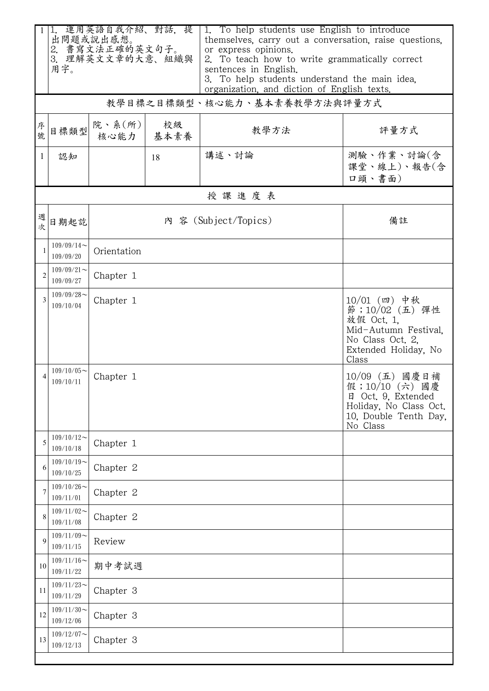|                | 用字。                        | 1. 運用英語自我介紹、對話, 提<br>出問題或說出感想。<br>2. 書寫文法正確的英文句子。<br>3. 理解英文文章的大意、組織與 |    | 1. To help students use English to introduce<br>themselves, carry out a conversation, raise questions,<br>or express opinions.<br>2. To teach how to write grammatically correct<br>sentences in English.<br>3. To help students understand the main idea,<br>organization, and diction of English texts. |                                                                                                                             |  |
|----------------|----------------------------|-----------------------------------------------------------------------|----|-----------------------------------------------------------------------------------------------------------------------------------------------------------------------------------------------------------------------------------------------------------------------------------------------------------|-----------------------------------------------------------------------------------------------------------------------------|--|
|                |                            |                                                                       |    | 教學目標之目標類型、核心能力、基本素養教學方法與評量方式                                                                                                                                                                                                                                                                              |                                                                                                                             |  |
| 序號             | 目標類型                       | 院、系 $(\kappa)$  <br>核心能力 基本素養                                         | 校級 | 教學方法                                                                                                                                                                                                                                                                                                      | 評量方式                                                                                                                        |  |
| 1              | 認知                         |                                                                       | 18 | 講述、討論                                                                                                                                                                                                                                                                                                     | 測驗、作業、討論(含<br>課堂、線上)、報告(含<br>口頭、書面)                                                                                         |  |
|                |                            |                                                                       |    | 授課進度表                                                                                                                                                                                                                                                                                                     |                                                                                                                             |  |
| 週次             | 日期起訖                       | 內 容 (Subject/Topics)                                                  |    |                                                                                                                                                                                                                                                                                                           | 備註                                                                                                                          |  |
|                | $109/09/14$ ~<br>109/09/20 | Orientation                                                           |    |                                                                                                                                                                                                                                                                                                           |                                                                                                                             |  |
| $\overline{2}$ | $109/09/21$ ~<br>109/09/27 | Chapter 1                                                             |    |                                                                                                                                                                                                                                                                                                           |                                                                                                                             |  |
| 3              | $109/09/28$ ~<br>109/10/04 | Chapter 1                                                             |    |                                                                                                                                                                                                                                                                                                           | $10/01$ (四) 中秋<br>節;10/02 (五) 彈性<br>放假 Oct. 1,<br>Mid-Autumn Festival.<br>No Class Oct. 2,<br>Extended Holiday, No<br>Class |  |
|                | $109/10/05$ ~<br>109/10/11 | Chapter 1                                                             |    |                                                                                                                                                                                                                                                                                                           | 10/09 (五) 國慶日補<br>假;10/10 (六) 國慶<br>日 Oct. 9, Extended<br>Holiday, No Class Oct.<br>10, Double Tenth Day,<br>No Class       |  |
| 5              | $109/10/12$ ~<br>109/10/18 | Chapter 1                                                             |    |                                                                                                                                                                                                                                                                                                           |                                                                                                                             |  |
| 6              | $109/10/19$ ~<br>109/10/25 | Chapter 2                                                             |    |                                                                                                                                                                                                                                                                                                           |                                                                                                                             |  |
|                | $109/10/26$ ~<br>109/11/01 | Chapter 2                                                             |    |                                                                                                                                                                                                                                                                                                           |                                                                                                                             |  |
| 8              | $109/11/02$ ~<br>109/11/08 | Chapter 2                                                             |    |                                                                                                                                                                                                                                                                                                           |                                                                                                                             |  |
| 9              | $109/11/09$ ~<br>109/11/15 | Review                                                                |    |                                                                                                                                                                                                                                                                                                           |                                                                                                                             |  |
| 10             | $109/11/16$ ~<br>109/11/22 | 期中考試週                                                                 |    |                                                                                                                                                                                                                                                                                                           |                                                                                                                             |  |
| 11             | $109/11/23$ ~<br>109/11/29 | Chapter 3                                                             |    |                                                                                                                                                                                                                                                                                                           |                                                                                                                             |  |
| 12             | $109/11/30$ ~<br>109/12/06 | Chapter 3                                                             |    |                                                                                                                                                                                                                                                                                                           |                                                                                                                             |  |
| 13             | $109/12/07$ ~<br>109/12/13 | Chapter 3                                                             |    |                                                                                                                                                                                                                                                                                                           |                                                                                                                             |  |